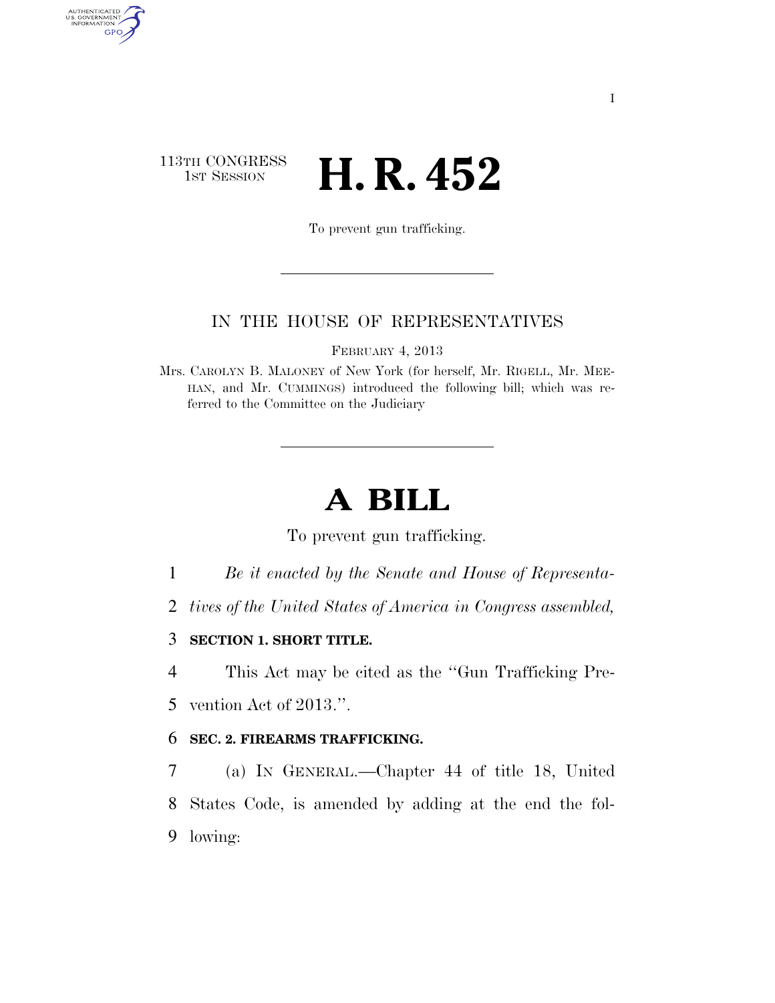## 113TH CONGRESS **HE CONGRESS H. R. 452**

AUTHENTICATED<br>U.S. GOVERNMENT<br>INFORMATION

GPO

To prevent gun trafficking.

## IN THE HOUSE OF REPRESENTATIVES

FEBRUARY 4, 2013

Mrs. CAROLYN B. MALONEY of New York (for herself, Mr. RIGELL, Mr. MEE-HAN, and Mr. CUMMINGS) introduced the following bill; which was referred to the Committee on the Judiciary

## **A BILL**

To prevent gun trafficking.

1 *Be it enacted by the Senate and House of Representa-*

2 *tives of the United States of America in Congress assembled,* 

3 **SECTION 1. SHORT TITLE.** 

4 This Act may be cited as the ''Gun Trafficking Pre-5 vention Act of 2013.''.

6 **SEC. 2. FIREARMS TRAFFICKING.** 

7 (a) IN GENERAL.—Chapter 44 of title 18, United 8 States Code, is amended by adding at the end the fol-9 lowing: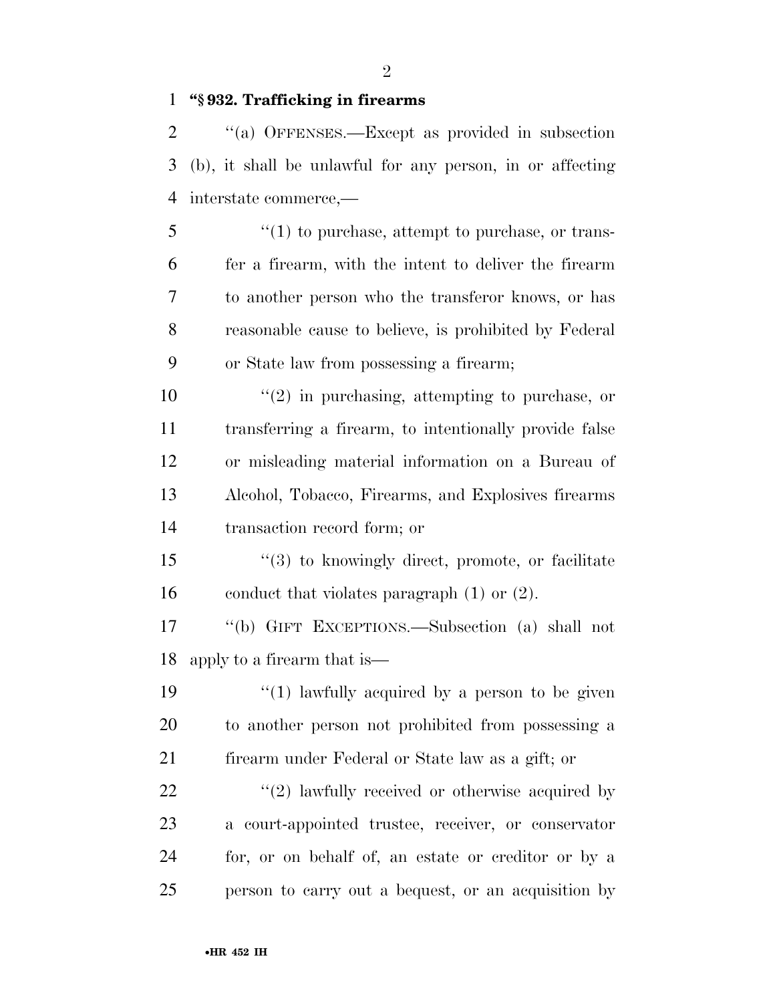**''§ 932. Trafficking in firearms** 

 ''(a) OFFENSES.—Except as provided in subsection (b), it shall be unlawful for any person, in or affecting interstate commerce,—

 ''(1) to purchase, attempt to purchase, or trans- fer a firearm, with the intent to deliver the firearm to another person who the transferor knows, or has reasonable cause to believe, is prohibited by Federal or State law from possessing a firearm;

 ''(2) in purchasing, attempting to purchase, or transferring a firearm, to intentionally provide false or misleading material information on a Bureau of Alcohol, Tobacco, Firearms, and Explosives firearms transaction record form; or

 ''(3) to knowingly direct, promote, or facilitate conduct that violates paragraph (1) or (2).

 ''(b) GIFT EXCEPTIONS.—Subsection (a) shall not apply to a firearm that is—

19  $\frac{1}{2}$   $\frac{1}{2}$  lawfully acquired by a person to be given to another person not prohibited from possessing a firearm under Federal or State law as a gift; or

 $\frac{1}{2}$  awfully received or otherwise acquired by a court-appointed trustee, receiver, or conservator for, or on behalf of, an estate or creditor or by a person to carry out a bequest, or an acquisition by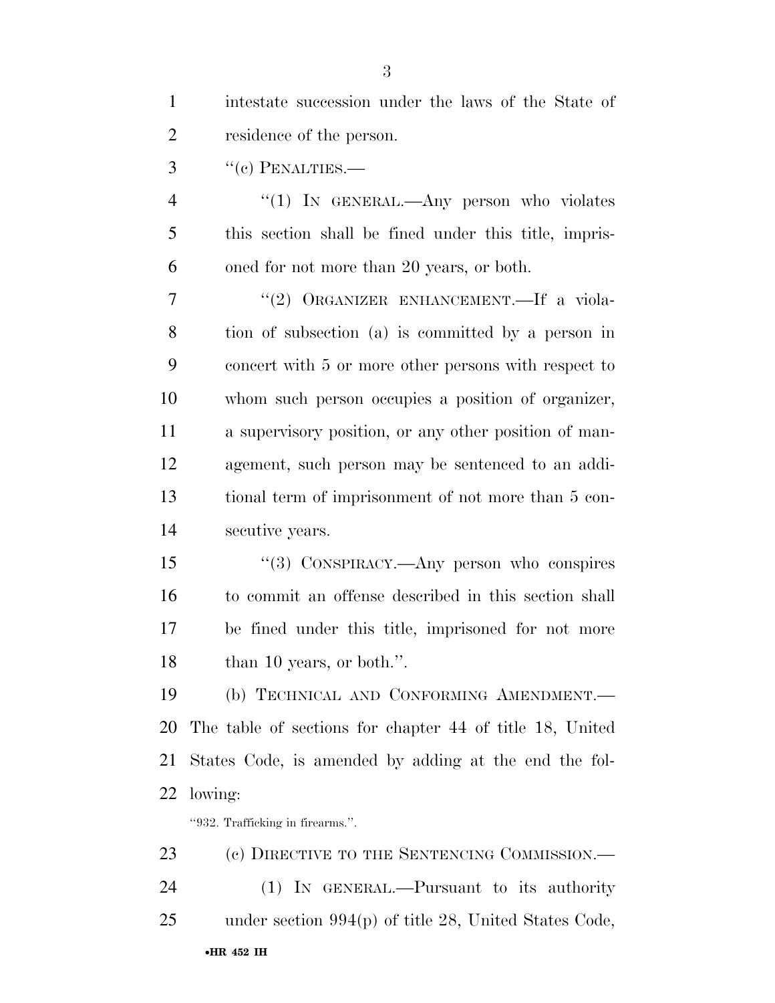| $\mathbf{1}$   | intestate succession under the laws of the State of      |
|----------------|----------------------------------------------------------|
| $\overline{2}$ | residence of the person.                                 |
| 3              | $``(c)$ PENALTIES.—                                      |
| $\overline{4}$ | "(1) IN GENERAL.—Any person who violates                 |
| 5              | this section shall be fined under this title, impris-    |
| 6              | oned for not more than 20 years, or both.                |
| 7              | "(2) ORGANIZER ENHANCEMENT.—If a viola-                  |
| 8              | tion of subsection (a) is committed by a person in       |
| 9              | concert with 5 or more other persons with respect to     |
| 10             | whom such person occupies a position of organizer,       |
| 11             | a supervisory position, or any other position of man-    |
| 12             | agement, such person may be sentenced to an addi-        |
| 13             | tional term of imprisonment of not more than 5 con-      |
| 14             | secutive years.                                          |
| 15             | "(3) CONSPIRACY.—Any person who conspires                |
| 16             | to commit an offense described in this section shall     |
| 17             | be fined under this title, imprisoned for not more       |
| 18             | than 10 years, or both.".                                |
| 19             | (b) TECHNICAL AND CONFORMING AMENDMENT.                  |
| 20             | The table of sections for chapter 44 of title 18, United |
| 21             | States Code, is amended by adding at the end the fol-    |
| 22             | lowing:                                                  |
|                | "932. Trafficking in firearms.".                         |
| 23             | (c) DIRECTIVE TO THE SENTENCING COMMISSION.—             |
| 24             | (1) IN GENERAL.—Pursuant to its authority                |
| 25             | under section $994(p)$ of title 28, United States Code,  |

•**HR 452 IH**